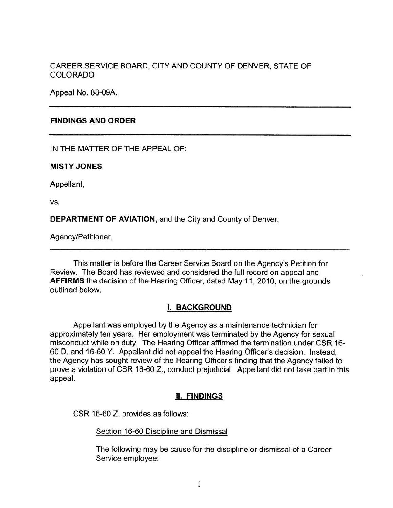CAREER SERVICE BOARD, CITY AND COUNTY OF DENVER, STATE OF COLORADO

Appeal No. 88-09A.

### **FINDINGS AND ORDER**

IN THE MATTER OF THE APPEAL OF:

**MISTY JONES** 

Appellant,

vs.

**DEPARTMENT OF AVIATION,** and the City and County of Denver,

Agency/Petitioner.

This matter is before the Career Service Board on the Agency's Petition for Review. The Board has reviewed and considered the full record on appeal and **AFFIRMS** the decision of the Hearing Officer, dated May 11, 2010, on the grounds outlined below.

## I. **BACKGROUND**

Appellant was employed by the Agency as a maintenance technician for approximately ten years. Her employment was terminated by the Agency for sexual misconduct while on duty. The Hearing Officer affirmed the termination under CSR 16- 60 D. and 16-60 Y. Appellant did not appeal the Hearing Officer's decision. Instead, the Agency has sought review of the Hearing Officer's finding that the Agency failed to prove a violation of CSR 16-60 Z., conduct prejudicial. Appellant did not take part in this appeal.

## II. **FINDINGS**

CSR 16-60 Z. provides as follows:

#### Section 16-60 Discipline and Dismissal

The following may be cause for the discipline or dismissal of a Career Service employee: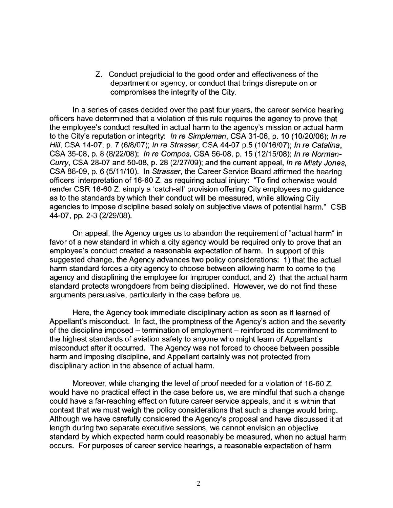Z. Conduct prejudicial to the good order and effectiveness of the department or agency, or conduct that brings disrepute on or compromises the integrity of the City.

In a series of cases decided over the past four years, the career service hearing officers have determined that a violation of this rule requires the agency to prove that the employee's conduct resulted in actual harm to the agency's mission or actual harm to the City's reputation or integrity: In re Simpleman, CSA 31-06, p. 10 (10/20/06); In re Hill, CSA 14-07, p. 7 (6/8/07); In re Strasser, CSA 44-07 p.5 (10/16/07); In re Catalina, CSA 35-08, p. 8 (8/22/08); In re Compos, CSA 56-08, p. 15 (12/15/08); In re Norman-Curry, CSA 28-07 and 50-08, p. 28 (2/27/09); and the current appeal, In re Misty Jones, CSA 88-09, p. 6 (5/11/10). In Strasser, the Career Service Board affirmed the hearing officers' interpretation of 16-60 Z. as requiring actual injury: "To find otherwise would render CSR 16-60 Z. simply a 'catch-all' provision offering City employees no guidance as to the standards by which their conduct will be measured, while allowing City agencies to impose discipline based solely on subjective views of potential harm." CSB 44-07, pp. 2-3 (2/29/08).

On appeal, the Agency urges us to abandon the requirement of "actual harm" in favor of a new standard in which a city agency would be required only to prove that an employee's conduct created a reasonable expectation of harm. In support of this suggested change, the Agency advances two policy considerations: 1) that the actual harm standard forces a city agency to choose between allowing harm to come to the agency and disciplining the employee for improper conduct, and 2) that the actual harm standard protects wrongdoers from being disciplined. However, we do not find these arguments persuasive, particularly in the case before us.

Here, the Agency took immediate disciplinary action as soon as it learned of Appellant's misconduct. In fact, the promptness of the Agency's action and the severity of the discipline imposed – termination of employment – reinforced its commitment to the highest standards of aviation safety to anyone who might learn of Appellant's misconduct after it occurred. The Agency was not forced to choose between possible harm and imposing discipline, and Appellant certainly was not protected from disciplinary action in the absence of actual harm.

Moreover, while changing the level of proof needed for a violation of 16-60 Z. would have no practical effect in the case before us, we are mindful that such a change could have a far-reaching effect on future career service appeals, and it is within that context that we must weigh the policy considerations that such a change would bring. Although we have carefully considered the Agency's proposal and have discussed it at length during two separate executive sessions, we cannot envision an objective standard by which expected harm could reasonably be measured, when no actual harm occurs. For purposes of career service hearings, a reasonable expectation of harm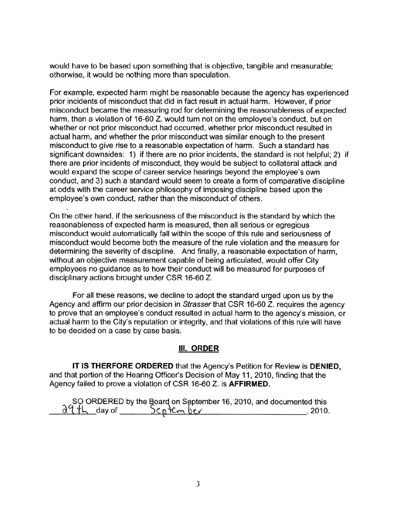would have to be based upon something that is objective, tangible and measurable; otherwise, it would be nothing more than speculation.

For example, expected harm might be reasonable because the agency has experienced prior incidents of misconduct that did in fact result in actual harm. However, if prior misconduct became the measuring rod for determining the reasonableness of expected harm, then a violation of 16-60 Z. would tum not on the employee's conduct, but on whether or not prior misconduct had occurred, whether prior misconduct resulted in actual harm, and whether the prior misconduct was similar enough to the present misconduct to give rise to a reasonable expectation of harm. Such a standard has significant downsides: 1) if there are no prior incidents, the standard is not helpful; 2) if there are prior incidents of misconduct, they would be subject to collateral attack and would expand the scope of career service hearings beyond the employee's own conduct, and 3) such a standard would seem to create a form of comparative discipline at odds with the career service philosophy of imposing discipline based upon the employee's own conduct, rather than the misconduct of others.

On the other hand, if the seriousness of the misconduct is the standard by which the reasonableness of expected harm is measured, then all serious or egregious misconduct would automatically fall within the scope of this rule and seriousness of misconduct would become both the measure of the rule violation and the measure for determining the severity of discipline. And finally, a reasonable expectation of harm, without an objective measurement capable of being articulated, would offer City employees no guidance as to how their conduct will be measured for purposes of disciplinary actions brought under CSR 16-60 Z.

For all these reasons, we decline to adopt the standard urged upon us by the Agency and affirm our prior decision in Strasser that CSR 16-60 Z. requires the agency to prove that an employee's conduct resulted in actual harm to the agency's mission, or actual harm to the City's reputation or integrity, and that violations of this rule will have to be decided on a case by case basis.

## Ill. **ORDER**

**IT IS THERFORE ORDERED** that the Agency's Petition for Review is **DENIED,**  and that portion of the Hearing Officer's Decision of May 11, 2010, finding that the Agency failed to prove a violation of CSR 16-60 Z. is **AFFIRMED.** 

|  | SO ORDERED by the Board on September 16, 2010, and documented this<br>$\frac{\partial \phi}{\partial t}$ day of $\frac{\partial \phi}{\partial t}$ f cm ber |
|--|-------------------------------------------------------------------------------------------------------------------------------------------------------------|